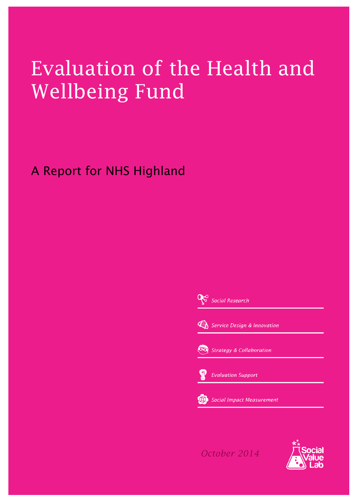# Evaluation of the Health and Wellbeing Fund

### A Report for NHS Highland

Social Research  $\mathcal{Q}$  Service Design & Innovation **Strategy & Collaboration Evaluation Support** 

Social Impact Measurement

*October 2014*

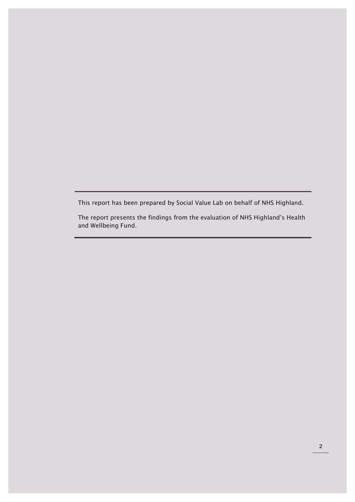This report has been prepared by Social Value Lab on behalf of NHS Highland.

The report presents the findings from the evaluation of NHS Highland's Health and Wellbeing Fund.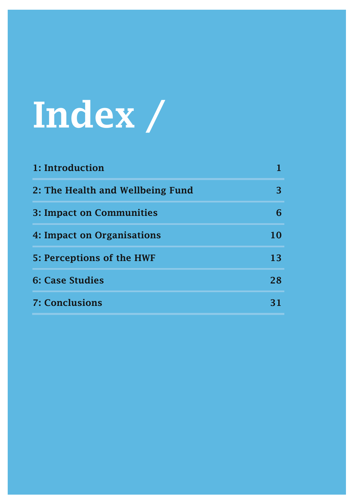# Index /

| 1: Introduction                  |    |
|----------------------------------|----|
| 2: The Health and Wellbeing Fund | 3  |
| <b>3: Impact on Communities</b>  |    |
| 4: Impact on Organisations       | 10 |
| 5: Perceptions of the HWF        | 13 |
| <b>6: Case Studies</b>           | 28 |
| <b>7: Conclusions</b>            | 31 |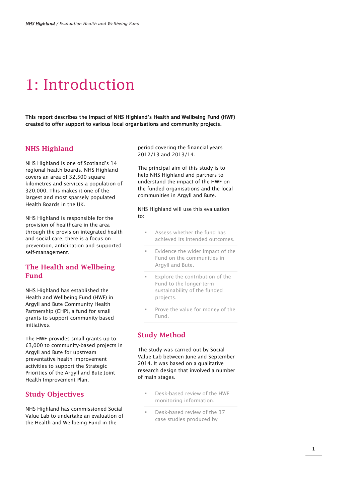### 1: Introduction

This report describes the impact of NHS Highland's Health and Wellbeing Fund (HWF) created to offer support to various local organisations and community projects.

#### NHS Highland

NHS Highland is one of Scotland's 14 regional health boards. NHS Highland covers an area of 32,500 square kilometres and services a population of 320,000. This makes it one of the largest and most sparsely populated Health Boards in the UK.

NHS Highland is responsible for the provision of healthcare in the area through the provision integrated health and social care, there is a focus on prevention, anticipation and supported self-management.

#### The Health and Wellbeing Fund

NHS Highland has established the Health and Wellbeing Fund (HWF) in Argyll and Bute Community Health Partnership (CHP), a fund for small grants to support community-based initiatives.

The HWF provides small grants up to £3,000 to community-based projects in Argyll and Bute for upstream preventative health improvement activities to support the Strategic Priorities of the Argyll and Bute Joint Health Improvement Plan.

#### Study Objectives

NHS Highland has commissioned Social Value Lab to undertake an evaluation of the Health and Wellbeing Fund in the

period covering the financial years 2012/13 and 2013/14.

The principal aim of this study is to help NHS Highland and partners to understand the impact of the HWF on the funded organisations and the local communities in Argyll and Bute.

NHS Highland will use this evaluation to:

- Assess whether the fund has achieved its intended outcomes.
- Evidence the wider impact of the Fund on the communities in Argyll and Bute.
- Explore the contribution of the Fund to the longer-term sustainability of the funded projects.
- Prove the value for money of the Fund.

#### Study Method

The study was carried out by Social Value Lab between June and September 2014. It was based on a qualitative research design that involved a number of main stages.

- Desk-based review of the HWF monitoring information.
- Desk-based review of the 37 case studies produced by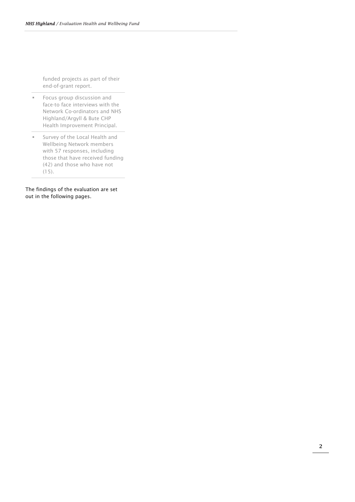funded projects as part of their end-of-grant report.

- **Focus group discussion and** face-to face interviews with the Network Co-ordinators and NHS Highland/Argyll & Bute CHP Health Improvement Principal.
- **Survey of the Local Health and** Wellbeing Network members with 57 responses, including those that have received funding (42) and those who have not (15).

The findings of the evaluation are set out in the following pages.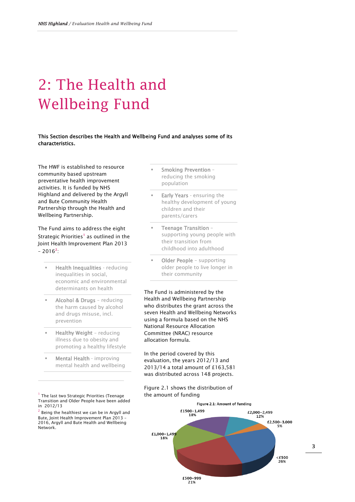## 2: The Health and Wellbeing Fund

#### This Section describes the Health and Wellbeing Fund and analyses some of its characteristics.

The HWF is established to resource community based upstream preventative health improvement activities. It is funded by NHS Highland and delivered by the Argyll and Bute Community Health Partnership through the Health and Wellbeing Partnership.

The Fund aims to address the eight Strategic Priorities<sup>[1](#page-6-0)</sup> as outlined in the Joint Health Improvement Plan 2013  $-2016^2$  $-2016^2$  $-2016^2$ :

- Health Inequalities reducing inequalities in social, economic and environmental determinants on health
- Alcohol & Drugs reducing the harm caused by alcohol and drugs misuse, incl. prevention
- Healthy Weight reducing illness due to obesity and promoting a healthy lifestyle
- Mental Health improving mental health and wellbeing

<span id="page-6-0"></span><sup>1</sup> The last two Strategic Priorities (Teenage Transition and Older People have been added in 2012/13

I

<span id="page-6-1"></span> $2$  Being the healthiest we can be in Argyll and Bute, Joint Health Improvement Plan 2013 – 2016, Argyll and Bute Health and Wellbeing Network.

- Smoking Prevention reducing the smoking population
- Early Years ensuring the healthy development of young children and their parents/carers
- Teenage Transition supporting young people with their transition from childhood into adulthood
- Older People supporting older people to live longer in their community

The Fund is administered by the Health and Wellbeing Partnership who distributes the grant across the seven Health and Wellbeing Networks using a formula based on the NHS National Resource Allocation Committee (NRAC) resource allocation formula.

In the period covered by this evaluation, the years 2012/13 and 2013/14 a total amount of £163,581 was distributed across 148 projects.

#### Figure 2.1 shows the distribution of the amount of funding

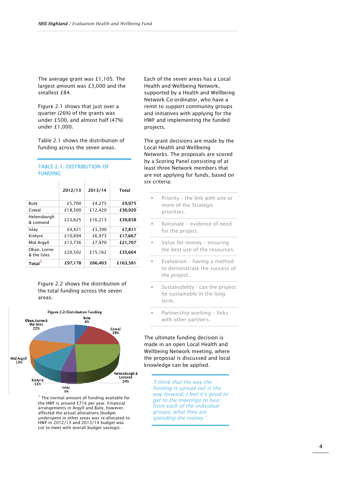The average grant was £1,105. The largest amount was £3,000 and the smallest £84.

Figure 2.1 shows that just over a quarter (26%) of the grants was under £500, and almost half (47%) under £1,000.

Table 2.1 shows the distribution of funding across the seven areas.

 $\mathbf{r}$ 

 $\bar{1}$ 

#### TABLE 2.1: DISTRIBUTION OF FUNDING

 $\mathbf{r}$ 

|                            | 2012/13 | 2013/14 | Total    |
|----------------------------|---------|---------|----------|
| Bute                       | £5,700  | £4.275  | £9,975   |
| Cowal                      | £18,500 | £12,420 | £30,920  |
| Helensburgh<br>& Lomond    | £23,625 | £16,213 | £39,838  |
| Islay                      | £4,421  | £3.390  | £7.811   |
| Kintyre                    | £10,694 | £6,973  | £17,667  |
| Mid Argyll                 | £13,736 | £7,970  | £21,707  |
| Oban, Lorne<br>& the Isles | £20,502 | £15,162 | £35,664  |
| Total <sup>3</sup>         | £97.178 | £66.403 | £163,581 |

Figure 2.2 shows the distribution of the total funding across the seven areas.



<span id="page-7-0"></span> $3$  The normal amount of funding available for the HWF is around £71k per year. Financial arrangements in Argyll and Bute, however, affected the actual allocations (budget underspent in other areas was re-allocated to HWF in 2012/13 and 2013/14 budget was cut to meet with overall budget savings).

Each of the seven areas has a Local Health and Wellbeing Network, supported by a Health and Wellbeing Network Co-ordinator, who have a remit to support community groups and initiatives with applying for the HWF and implementing the funded projects.

The grant decisions are made by the Local Health and Wellbeing Networks. The proposals are scored by a Scoring Panel consisting of at least three Network members that are not applying for funds, based on six criteria:

- Priority the link with one or more of the Strategic priorities.
- Rationale evidence of need for the project.
- Value for money ensuring the best use of the resources.
- Evaluation having a method to demonstrate the success of the project.
- Sustainability can the project be sustainable in the long term.
- Partnership working links with other partners.

The ultimate funding decision is made in an open Local Health and Wellbeing Network meeting, where the proposal is discussed and local knowledge can be applied.

"I think that the way the funding is spread out is the way forward, I feel it's good to get to the meetings to hear from each of the individual groups, what they are spending the money.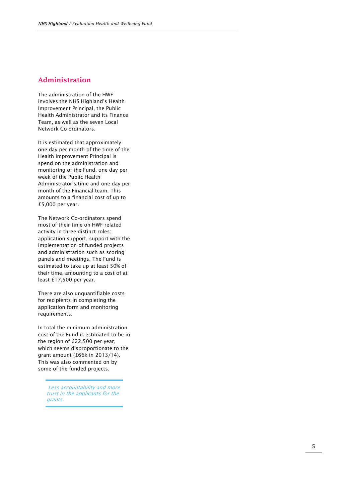#### Administration

The administration of the HWF involves the NHS Highland's Health Improvement Principal, the Public Health Administrator and its Finance Team, as well as the seven Local Network Co -ordinators.

It is estimated that approximately one day per month of the time of the Health Improvement Principal is spend on the administration and monitoring of the Fund, one day per week of the Public Health Administrator's time and one day per month of the Financial team. This amounts to a financial cost of up to £5,000 per year.

The Network Co -ordinators spend most of their time on HWF -related activity in three distinct roles: application support, support with the implementation of funded projects and administration such as scoring panels and meetings. The Fund is estimated to take up at least 50% of their time, amounting to a cost of at least £17,500 per year.

There are also unquantifiable costs for recipients in completing the application form and monitoring requirements.

In total the minimum administration cost of the Fund is estimated to be in the region of £22,500 per year, which seems disproportionate to the grant amount (£66k in 2013/14). This was also commented on by some of the funded projects.

Less accountability and more trust in the applicants for the grants.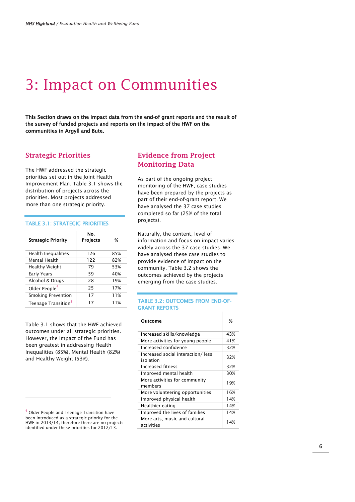### 3: Impact on Communities

This Section draws on the impact data from the end-of grant reports and the result of the survey of funded projects and reports on the impact of the HWF on the communities in Argyll and Bute.

#### Strategic Priorities

The HWF addressed the strategic priorities set out in the Joint Health Improvement Plan. Table 3.1 shows the distribution of projects across the priorities. Most projects addressed more than one strategic priority.

#### TABLE 3.1: STRATEGIC PRIORITIES

| <b>Strategic Priority</b>       | No.<br><b>Projects</b> | ℅   |
|---------------------------------|------------------------|-----|
| Health Inequalities             | 126                    | 85% |
| Mental Health                   | 122                    | 82% |
| Healthy Weight                  | 79                     | 53% |
| Early Years                     | 59                     | 40% |
| Alcohol & Drugs                 | 28                     | 19% |
| Older People <sup>4</sup>       | 25                     | 17% |
| <b>Smoking Prevention</b>       | 17                     | 11% |
| Teenage Transition <sup>3</sup> | 17                     | 11% |

Table 3.1 shows that the HWF achieved outcomes under all strategic priorities. However, the impact of the Fund has been greatest in addressing Health Inequalities (85%), Mental Health (82%) and Healthy Weight (53%).

<span id="page-9-0"></span><sup>4</sup> Older People and Teenage Transition have been introduced as a strategic priority for the HWF in 2013/14, therefore there are no projects identified under these priorities for 2012/13.

I

#### Evidence from Project Monitoring Data

As part of the ongoing project monitoring of the HWF, case studies have been prepared by the projects as part of their end-of-grant report. We have analysed the 37 case studies completed so far (25% of the total projects).

Naturally, the content, level of information and focus on impact varies widely across the 37 case studies. We have analysed these case studies to provide evidence of impact on the community. Table 3.2 shows the outcomes achieved by the projects emerging from the case studies.

#### TABLE 3.2: OUTCOMES FROM END-OF-GRANT REPORTS

| Outcome                                        | %   |
|------------------------------------------------|-----|
| Increased skills/knowledge                     | 43% |
| More activities for young people               | 41% |
| Increased confidence                           | 32% |
| Increased social interaction/less<br>isolation | 32% |
| Increased fitness                              | 32% |
| Improved mental health                         | 30% |
| More activities for community<br>members       | 19% |
| More volunteering opportunities                | 16% |
| Improved physical health                       | 14% |
| Healthier eating                               | 14% |
| Improved the lives of families                 | 14% |
| More arts, music and cultural<br>activities    | 14% |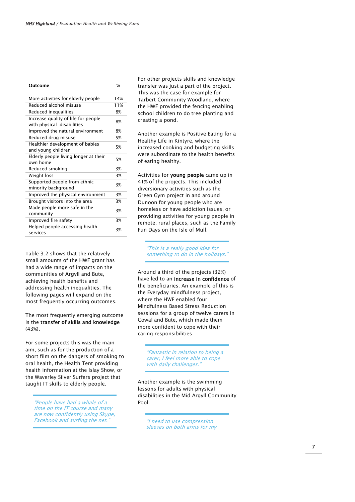| Outcome                                                           | ℅   |
|-------------------------------------------------------------------|-----|
| More activities for elderly people                                | 14% |
| Reduced alcohol misuse                                            | 11% |
| Reduced inequalities                                              | 8%  |
| Increase quality of life for people<br>with physical disabilities | 8%  |
| Improved the natural environment                                  | 8%  |
| Reduced drug misuse                                               | 5%  |
| Healthier development of babies<br>and young children             | 5%  |
| Elderly people living longer at their<br>own home                 | 5%  |
| Reduced smoking                                                   | 3%  |
| Weight loss                                                       | 3%  |
| Supported people from ethnic<br>minority background               | 3%  |
| Improved the physical environment                                 | 3%  |
| Brought visitors into the area                                    | 3%  |
| Made people more safe in the<br>community                         | 3%  |
| Improved fire safety                                              | 3%  |
| Helped people accessing health<br>services                        | 3%  |
|                                                                   |     |

Table 3.2 shows that the relatively small amounts of the HWF grant has had a wide range of impacts on the communities of Argyll and Bute, achieving health benefits and addressing health inequalities. The following pages will expand on the most frequently occurring outcomes.

#### The most frequently emerging outcome is the transfer of skills and knowledge (43%).

For some projects this was the main aim, such as for the production of a short film on the dangers of smoking to oral health, the Health Tent providing health information at the Islay Show, or the Waverley Silver Surfers project that taught IT skills to elderly people.

"People have had a whale of a time on the IT course and many are now confidently using Skype, Facebook and surfing the net.

For other projects skills and knowledge transfer was just a part of the project. This was the case for example for Tarbert Community Woodland, where the HWF provided the fencing enabling school children to do tree planting and creating a pond.

Another example is Positive Eating for a Healthy Life in Kintyre, where the increased cooking and budgeting skills were subordinate to the health benefits of eating healthy.

Activities for young people came up in 41% of the projects. This included diversionary activities such as the Green Gym project in and around Dunoon for young people who are homeless or have addiction issues, or providing activities for young people in remote, rural places, such as the Family Fun Days on the Isle of Mull.

> "This is a really good idea for something to do in the holidays.'

Around a third of the projects (32%) have led to an increase in confidence of the beneficiaries. An example of this is the Everyday mindfulness project, where the HWF enabled four Mindfulness Based Stress Reduction sessions for a group of twelve carers in Cowal and Bute, which made them more confident to cope with their caring responsibilities.

"Fantastic in relation to being a carer, I feel more able to cope with daily challenges.'

Another example is the swimming lessons for adults with physical disabilities in the Mid Argyll Community Pool.

"I need to use compression sleeves on both arms for my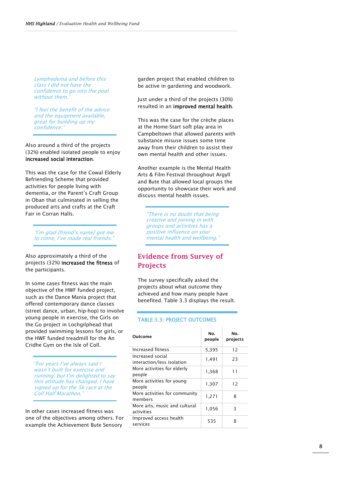Lymphedema and before this class I did not have the confidence to go into the pool without them.

"I feel the benefit of the advice and the equipment available. great for building up my confidence."

Also around a third of the projects (32%) enabled isolated people to enjoy increased social interaction.

This was the case for the Cowal Elderly Befriending Scheme that provided activities for people living with dementia, or the Parent's Craft Group in Oban that culminated in selling the produced arts and crafts at the Craft Fair in Corran Halls.

"I'm glad [friend's name] got me to come, I've made real friends."

Also approximately a third of the projects (32%) increased the fitness of the participants.

In some cases fitness was the main objective of the HWF funded project, such as the Dance Mania project that offered contemporary dance classes (street dance, urban, hip-hop) to involve young people in exercise, the Girls on the Go project in Lochgilphead that provided swimming lessons for girls, or the HWF funded treadmill for the An Cridhe Gym on the Isle of Coll.

"For years I've always said I wasn't built for exercise and running, but I'm delighted to say this attitude has changed. I have signed up for the 5k race at the Coll Half Marathon.

In other cases increased fitness was one of the objectives among others. For example the Achievement Bute Sensory

garden project that enabled children to be active in gardening and woodwork.

Just under a third of the projects (30%) resulted in an improved mental health.

This was the case for the crèche places at the Home-Start soft play area in Campbeltown that allowed parents with substance misuse issues some time away from their children to assist their own mental health and other issues.

Another example is the Mental Health Arts & Film Festival throughout Argyll and Bute that allowed local groups the opportunity to showcase their work and discuss mental health issues.

"There is no doubt that being creative and joining in with groups and activities has a positive influence on your mental health and wellbeing."

#### Evidence from Survey of Projects

The survey specifically asked the projects about what outcome they achieved and how many people have benefited. Table 3.3 displays the result.

#### TABLE 3.3: PROJECT OUTCOMES

| Outcome                                        | No.<br>people | Nο.<br>projects |
|------------------------------------------------|---------------|-----------------|
| Increased fitness                              | 5,395         | 12              |
| Increased social<br>interaction/less isolation | 1,491         | 23              |
| More activities for elderly<br>people          | 1,368         | 11              |
| More activities for young<br>people            | 1,307         | 12              |
| More activities for community<br>members       | 1,271         | 8               |
| More arts, music and cultural<br>activities    | 1,056         | Β               |
| Improved access health<br>services             | 535           | 8               |

8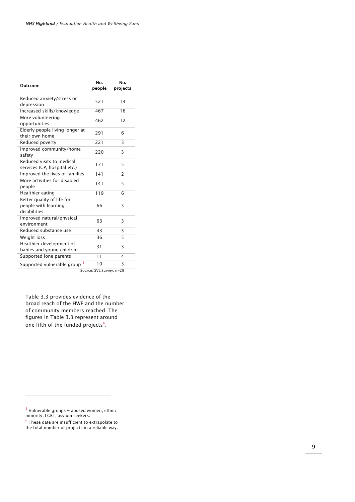| Outcome                                                            | No.<br>people | Nο.<br>projects          |
|--------------------------------------------------------------------|---------------|--------------------------|
| Reduced anxiety/stress or<br>depression                            | 521           | 14                       |
| Increased skills/knowledge                                         | 467           | 16                       |
| More volunteering<br>opportunities                                 | 462           | 12                       |
| Elderly people living longer at<br>their own home                  | 291           | 6                        |
| Reduced poverty                                                    | 221           | 3                        |
| Improved community/home<br>safety                                  | 220           | 3                        |
| Reduced visits to medical<br>services (GP, hospital etc.)          | 171           | 5                        |
| Improved the lives of families                                     | 141           | $\overline{\phantom{0}}$ |
| More activities for disabled<br>people                             | 141           | 5                        |
| Healthier eating                                                   | 119           | 6                        |
| Better quality of life for<br>people with learning<br>disabilities | 66            | 5                        |
| Improved natural/physical<br>environment                           | 63            | 3                        |
| Reduced substance use                                              | 43            | 5                        |
| Weight loss                                                        | 36            | 5                        |
| Healthier development of<br>babies and young children              | 31            | 3                        |
| Supported lone parents                                             | 11            | 4                        |
| 5<br>Supported vulnerable group                                    | 10            | 3                        |
| Source: SVL Survey, n=29                                           |               |                          |

Table 3.3 provides evidence of the broad reach of the HWF and the number of community members reached. The figures in Table 3.3 represent around one fifth of the funded projects [6](#page-12-1) .

I

<span id="page-12-0"></span> $5$  Vulnerable groups = abused women, ethnic minority, LGBT, asylum seekers .

<span id="page-12-1"></span> $6$  These date are insufficient to extrapolate to the total number of projects in a reliable way.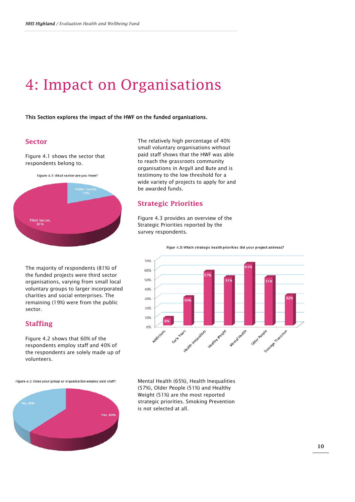### 4: Impact on Organisations

This Section explores the impact of the HWF on the funded organisations.

#### **Sector**

Figure 4.1 shows the sector that respondents belong to.

Figure 4.1: What sector are you from?



The majority of respondents (81%) of the funded projects were third sector organisations, varying from small local voluntary groups to larger incorporated charities and social enterprises. The remaining (19%) were from the public sector.

#### Staffing

Figure 4.2 shows that 60% of the respondents employ staff and 40% of the respondents are solely made up of volunteers.

Figure 4.2: Does your group or organisation employ paid staff?



The relatively high percentage of 40% small voluntary organisations without paid staff shows that the HWF was able to reach the grassroots community organisations in Argyll and Bute and is testimony to the low threshold for a wide variety of projects to apply for and be awarded funds.

#### Strategic Priorities

Figure 4.3 provides an overview of the Strategic Priorities reported by the survey respondents.



Mental Health (65%), Health Inequalities (57%), Older People (51%) and Healthy Weight (51%) are the most reported strategic priorities. Smoking Prevention is not selected at all.

Figur 4.3: Which strategic health priorities did your project address?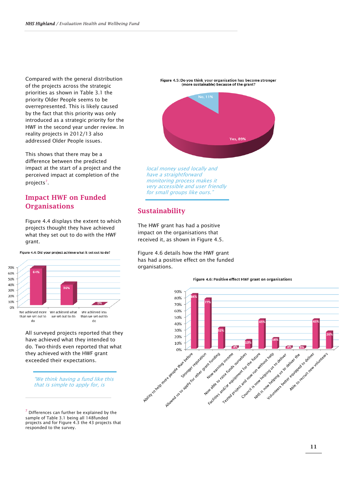Compared with the general distribution of the projects across the strategic priorities as shown in Table 3.1 the priority Older People seems to be overrepresented. This is likely caused by the fact that this priority was only introduced as a strategic priority for the HWF in the second year under review. In reality projects in 2012/13 also addressed Older People issues.

This shows that there may be a difference between the predicted impact at the start of a project and the perceived impact at completion of the projects<sup>[7](#page-14-0)</sup>.

#### Impact HWF on Funded **Organisations**

Figure 4.4 displays the extent to which projects thought they have achieved what they set out to do with the HWF grant.

70% 60% 50% 40% 30% 20% 10%  $\sim 0\%$  $0%$ We achieved less than we set out to we set out to do than we set out to

Figure 4.4: Did your project achieve what it set out to do?

All surveyed projects reported that they have achieved what they intended to do. Two-thirds even reported that what they achieved with the HWF grant exceeded their expectations.

do

"We think having a fund like this that is simple to apply for, is

<span id="page-14-0"></span> $<sup>7</sup>$  Differences can further be explained by the</sup> sample of Table 3.1 being all 148funded projects and for Figure 4.3 the 43 projects that responded to the survey.

I

do

Figure 4.5: Do you think your organisation has become stronger<br>(more sustainable) because of the grant?



local money used locally and have a straightforward monitoring process makes it very accessible and user friendly for small groups like ours.'

#### Sustainability

The HWF grant has had a positive impact on the organisations that received it, as shown in Figure 4.5.

Figure 4.6 details how the HWF grant has had a positive effect on the funded organisations.



#### Figure 4.6: Positive effect HWF grant on organisations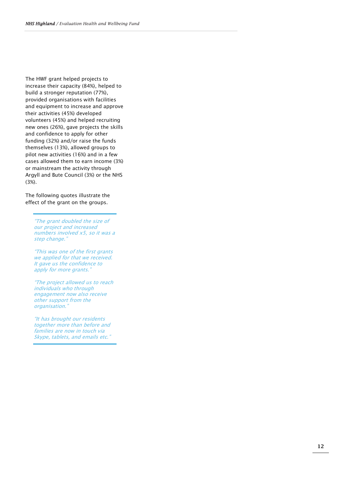The HWF grant helped projects to increase their capacity (84%), helped to build a stronger reputation (77%), provided organisations with facilities and equipment to increase and approve their activities (45%) developed volunteers (45%) and helped recruiting new ones (26%), gave projects the skills and confidence to apply for other funding (32%) and/or raise the funds themselves (13%), allowed groups to pilot new activities (16%) and in a few cases allowed them to earn income (3%) or mainstream the activity through Argyll and Bute Council (3%) or the NHS (3%).

The following quotes illustrate the effect of the grant on the groups.

> "The grant doubled the size of our project and increased numbers involved x5, so it was a step change. "

"This was one of the first grants we applied for that we received. It gave us the confidence to apply for more grants. "

"The project allowed us to reach individuals who through engagement now also receive other support from the organisation. "

"It has brought our residents together more than before and families are now in touch via<br>Skype, tablets, and emails etc."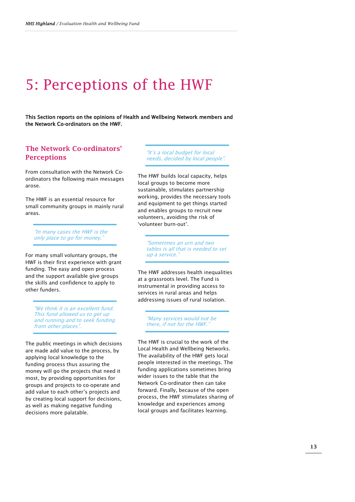### 5: Perceptions of the HWF

This Section reports on the opinions of Health and Wellbeing Network members and the Network Co-ordinators on the HWF.

#### The Network Co-ordinators' Perceptions

From consultation with the Network Coordinators the following main messages arose.

The HWF is an essential resource for small community groups in mainly rural areas.

"In many cases the HWF is the only place to go for money.

For many small voluntary groups, the HWF is their first experience with grant funding. The easy and open process and the support available give groups the skills and confidence to apply to other funders.

"We think it is an excellent fund. This fund allowed us to get up and running and to seek funding from other places".

The public meetings in which decisions are made add value to the process, by applying local knowledge to the funding process thus assuring the money will go the projects that need it most, by providing opportunities for groups and projects to co-operate and add value to each other's projects and by creating local support for decisions, as well as making negative funding decisions more palatable.

"It's a local budget for local needs, decided by local people".

The HWF builds local capacity, helps local groups to become more sustainable, stimulates partnership working, provides the necessary tools and equipment to get things started and enables groups to recruit new volunteers, avoiding the risk of 'volunteer burn-out'.

"Sometimes an urn and two tables is all that is needed to set up a service."

The HWF addresses health inequalities at a grassroots level. The Fund is instrumental in providing access to services in rural areas and helps addressing issues of rural isolation.

"Many services would not be there, if not for the HWF."

The HWF is crucial to the work of the Local Health and Wellbeing Networks. The availability of the HWF gets local people interested in the meetings. The funding applications sometimes bring wider issues to the table that the Network Co-ordinator then can take forward. Finally, because of the open process, the HWF stimulates sharing of knowledge and experiences among local groups and facilitates learning.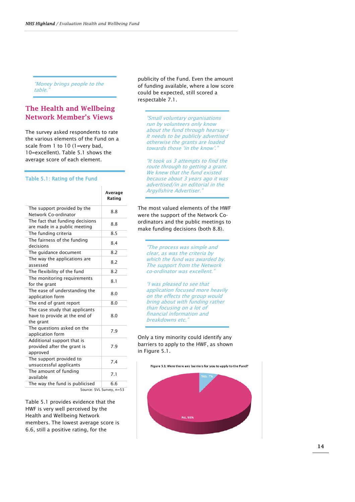"Money brings people to the table.

#### The Health and Wellbeing Network Member's Views

The survey asked respondents to rate the various elements of the Fund on a scale from 1 to 10 (1=very bad, 10=excellent). Table 5.1 shows the average score of each element.

#### Table 5.1: Rating of the Fund

|                                                                              | Average<br>Rating        |
|------------------------------------------------------------------------------|--------------------------|
| The support provided by the<br>Network Co-ordinator                          | 8.8                      |
| The fact that funding decisions<br>are made in a public meeting              | 8.8                      |
| The funding criteria                                                         | 8.5                      |
| The fairness of the funding<br>decisions                                     | 8.4                      |
| The quidance document                                                        | 82                       |
| The way the applications are<br>assessed                                     | 8.2                      |
| The flexibility of the fund                                                  | 8.2                      |
| The monitoring requirements<br>for the grant                                 | 8.1                      |
| The ease of understanding the<br>application form                            | 8.0                      |
| The end of grant report                                                      | 8.0                      |
| The case study that applicants<br>have to provide at the end of<br>the grant | 8.0                      |
| The questions asked on the<br>application form                               | 7.9                      |
| Additional support that is<br>provided after the grant is<br>approved        | 7.9                      |
| The support provided to<br>unsuccessful applicants                           | 7.4                      |
| The amount of funding<br>available                                           | 7.1                      |
| The way the fund is publicised                                               | 6.6                      |
|                                                                              | Source: SVL Survey, n=53 |

Table 5.1 provides evidence that the HWF is very well perceived by the Health and Wellbeing Network members. The lowest average score is 6.6, still a positive rating, for the

publicity of the Fund. Even the amount of funding available, where a low score could be expected, still scored a respectable 7.1.

"Small voluntary organisations run by volunteers only know about the fund through hearsay - It needs to be publicly advertised otherwise the grants are loaded towards those 'in the know'."

"It took us 3 attempts to find the route through to getting a grant. We knew that the fund existed because about 3 years ago it was advertised/in an editorial in the Argyllshire Advertiser."

The most valued elements of the HWF were the support of the Network Coordinators and the public meetings to make funding decisions (both 8.8).

"The process was simple and clear, as was the criteria by which the fund was awarded by. The support from the Network co-ordinator was excellent."

"I was pleased to see that application focused more heavily on the effects the group would bring about with funding rather than focusing on a lot of financial information and breakdowns etc.

Only a tiny minority could identify any barriers to apply to the HWF, as shown in Figure 5.1.

Figure 5.1: Were there any barriers for you to apply to the Fund?

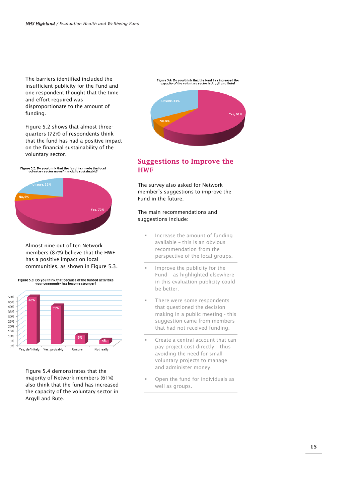The barriers identified included the insufficient publicity for the Fund and one respondent thought that the time and effort required was disproportionate to the amount of funding.

Figure 5.2 shows that almost threequarters (72%) of respondents think that the fund has had a positive impact on the financial sustainability of the voluntary sector.

Figure 5.2: Do you think that the fund has made the local<br>voluntary sector more financially sustainable?



Almost nine out of ten Network members (87%) believe that the HWF has a positive impact on local communities, as shown in Figure 5.3.



Figure 5.4 demonstrates that the majority of Network members (61%) also think that the fund has increased the capacity of the voluntary sector in Argyll and Bute.



#### Suggestions to Improve the HWF

The survey also asked for Network member's suggestions to improve the Fund in the future.

#### The main recommendations and suggestions include:

- Increase the amount of funding available – this is an obvious recommendation from the perspective of the local groups.
- Improve the publicity for the Fund – as highlighted elsewhere in this evaluation publicity could be better.
- There were some respondents that questioned the decision making in a public meeting - this suggestion came from members that had not received funding.
- Create a central account that can pay project cost directly – thus avoiding the need for small voluntary projects to manage and administer money.
- Open the fund for individuals as well as groups.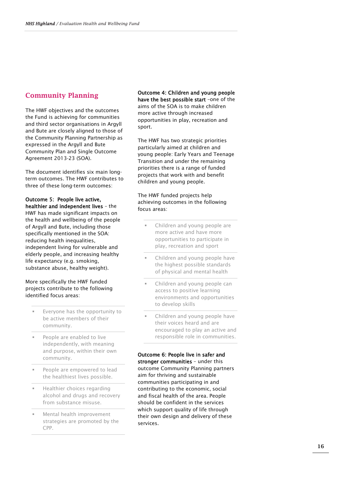#### Community Planning

The HWF objectives and the outcomes the Fund is achieving for communities and third sector organisations in Argyll and Bute are closely aligned to those of the Community Planning Partnership as expressed in the Argyll and Bute Community Plan and Single Outcome Agreement 2013-23 (SOA).

The document identifies six main longterm outcomes. The HWF contributes to three of these long-term outcomes:

Outcome 5: People live active, healthier and independent lives – the HWF has made significant impacts on the health and wellbeing of the people of Argyll and Bute, including those specifically mentioned in the SOA: reducing health inequalities, independent living for vulnerable and elderly people, and increasing healthy life expectancy (e.g. smoking, substance abuse, healthy weight).

More specifically the HWF funded projects contribute to the following identified focus areas:

- Everyone has the opportunity to be active members of their community.
- People are enabled to live independently, with meaning and purpose, within their own community.
- People are empowered to lead the healthiest lives possible.
- Healthier choices regarding alcohol and drugs and recovery from substance misuse.
- Mental health improvement strategies are promoted by the CPP.

#### Outcome 4: Children and young people have the best possible start -one of the

aims of the SOA is to make children more active through increased opportunities in play, recreation and sport.

The HWF has two strategic priorities particularly aimed at children and young people: Early Years and Teenage Transition and under the remaining priorities there is a range of funded projects that work with and benefit children and young people.

The HWF funded projects help achieving outcomes in the following focus areas:

- Children and young people are more active and have more opportunities to participate in play, recreation and sport
- Children and young people have the highest possible standards of physical and mental health
- Children and young people can access to positive learning environments and opportunities to develop skills
- Children and young people have their voices heard and are encouraged to play an active and responsible role in communities.

Outcome 6: People live in safer and stronger communities – under this outcome Community Planning partners aim for thriving and sustainable communities participating in and contributing to the economic, social and fiscal health of the area. People should be confident in the services which support quality of life through their own design and delivery of these services.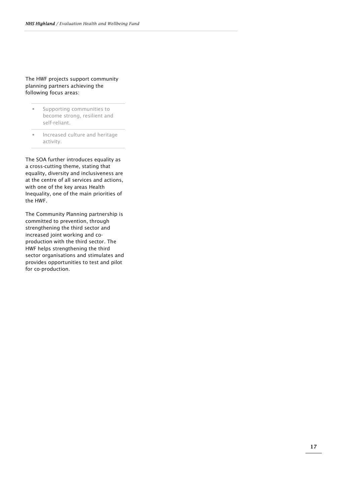#### The HWF projects support community planning partners achieving the following focus areas:

- **Supporting communities to** become strong, resilient and self-reliant.
- **Increased culture and heritage** activity.

The SOA further introduces equality as a cross-cutting theme, stating that equality, diversity and inclusiveness are at the centre of all services and actions, with one of the key areas Health Inequality, one of the main priorities of the HWF.

The Community Planning partnership is committed to prevention, through strengthening the third sector and increased joint working and coproduction with the third sector. The HWF helps strengthening the third sector organisations and stimulates and provides opportunities to test and pilot for co-production.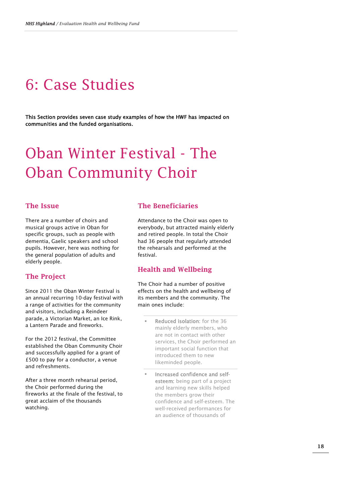### 6: Case Studies

This Section provides seven case study examples of how the HWF has impacted on communities and the funded organisations.

## Oban Winter Festival - The Oban Community Choir

#### The Issue

There are a number of choirs and musical groups active in Oban for specific groups, such as people with dementia, Gaelic speakers and school pupils. However, here was nothing for the general population of adults and elderly people.

#### The Project

Since 2011 the Oban Winter Festival is an annual recurring 10-day festival with a range of activities for the community and visitors, including a Reindeer parade, a Victorian Market, an Ice Rink, a Lantern Parade and fireworks.

For the 2012 festival, the Committee established the Oban Community Choir and successfully applied for a grant of £500 to pay for a conductor, a venue and refreshments.

After a three month rehearsal period, the Choir performed during the fireworks at the finale of the festival, to great acclaim of the thousands watching.

#### The Beneficiaries

Attendance to the Choir was open to everybody, but attracted mainly elderly and retired people. In total the Choir had 36 people that regularly attended the rehearsals and performed at the festival.

#### Health and Wellbeing

The Choir had a number of positive effects on the health and wellbeing of its members and the community. The main ones include:

- Reduced isolation: for the 36 mainly elderly members, who are not in contact with other services, the Choir performed an important social function that introduced them to new likeminded people.
- Increased confidence and selfesteem: being part of a project and learning new skills helped the members grow their confidence and self-esteem. The well-received performances for an audience of thousands of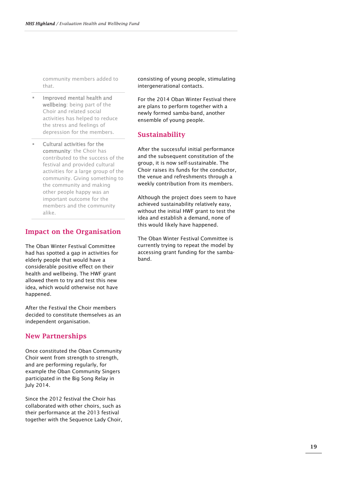community members added to that.

- Improved mental health and wellbeing: being part of the Choir and related social activities has helped to reduce the stress and feelings of depression for the members.
- Cultural activities for the community: the Choir has contributed to the success of the festival and provided cultural activities for a large group of the community. Giving something to the community and making other people happy was an important outcome for the members and the community alike.

#### Impact on the Organisation

The Oban Winter Festival Committee had has spotted a gap in activities for elderly people that would have a considerable positive effect on their health and wellbeing. The HWF grant allowed them to try and test this new idea, which would otherwise not have happened.

After the Festival the Choir members decided to constitute themselves as an independent organisation.

#### New Partnerships

Once constituted the Oban Community Choir went from strength to strength, and are performing regularly, for example the Oban Community Singers participated in the Big Song Relay in July 2014.

Since the 2012 festival the Choir has collaborated with other choirs, such as their performance at the 2013 festival together with the Sequence Lady Choir, consisting of young people, stimulating intergenerational contacts.

For the 2014 Oban Winter Festival there are plans to perform together with a newly formed samba-band, another ensemble of young people.

#### Sustainability

After the successful initial performance and the subsequent constitution of the group, it is now self-sustainable. The Choir raises its funds for the conductor, the venue and refreshments through a weekly contribution from its members.

Although the project does seem to have achieved sustainability relatively easy, without the initial HWF grant to test the idea and establish a demand, none of this would likely have happened.

The Oban Winter Festival Committee is currently trying to repeat the model by accessing grant funding for the sambaband.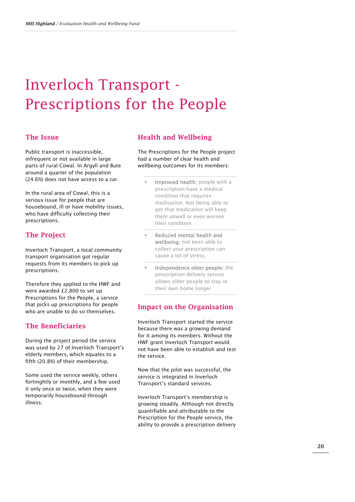### Inverloch Transport - Prescriptions for the People

#### The Issue

Public transport is inaccessible, infrequent or not available in large parts of rural Cowal. In Argyll and Bute around a quarter of the population (24.6%) does not have access to a car.

In the rural area of Cowal, this is a serious issue for people that are housebound, ill or have mobility issues, who have difficulty collecting their prescriptions.

#### The Project

Inverloch Transport, a local community transport organisation got regular requests from its members to pick up prescriptions.

Therefore they applied to the HWF and were awarded £2,800 to set up Prescriptions for the People, a service that picks up prescriptions for people who are unable to do so themselves.

#### The Beneficiaries

During the project period the service was used by 27 of Inverloch Transport's elderly members, which equates to a fifth (20.8%) of their membership.

Some used the service weekly, others fortnightly or monthly, and a few used it only once or twice, when they were temporarily housebound through illness.

#### Health and Wellbeing

The Prescriptions for the People project had a number of clear health and wellbeing outcomes for its members:

- Improved health: people with a prescription have a medical condition that requires medication. Not being able to get that medication will keep them unwell or even worsen their condition.
- Reduced mental health and wellbeing: not been able to collect your prescription can cause a lot of stress.
- Independence older people: the prescription delivery service allows older people to stay in their own home longer

#### Impact on the Organisation

Inverloch Transport started the service because there was a growing demand for it among its members. Without the HWF grant Inverloch Transport would not have been able to establish and test the service.

Now that the pilot was successful, the service is integrated in Inverloch Transport's standard services.

Inverloch Transport's membership is growing steadily. Although not directly quantifiable and attributable to the Prescription for the People service, the ability to provide a prescription delivery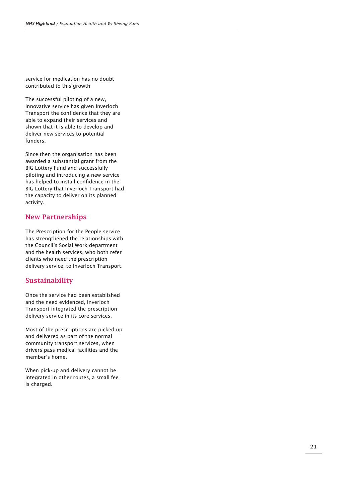service for medication has no doubt contributed to this growth

The successful piloting of a new, innovative service has given Inverloch Transport the confidence that they are able to expand their services and shown that it is able to develop and deliver new services to potential funders.

Since then the organisation has been awarded a substantial grant from the BIG Lottery Fund and successfully piloting and introducing a new service has helped to install confidence in the BIG Lottery that Inverloch Transport had the capacity to deliver on its planned activity.

#### New Partnerships

The Prescription for the People service has strengthened the relationships with the Council's Social Wo rk department and the health services, who both refer clients who need the prescription delivery service , to Inverloch Transport.

#### Sustainability

Once the service ha d been established and the need evidenced, Inverloch Transport integrated the prescription delivery service in its core services.

Most of the prescriptions are picked up and delivered as part of the normal community transport services, when drivers pass medical facilities and the member's home .

When pick -up and delivery cannot be integrated in other routes, a small fee is charged.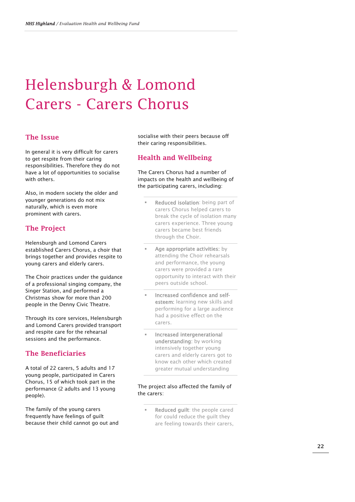## Helensburgh & Lomond Carers - Carers Chorus

#### The Issue

In general it is very difficult for carers to get respite from their caring responsibilities. Therefore they do not have a lot of opportunities to socialise with others.

Also, in modern society the older and younger generations do not mix naturally, which is even more prominent with carers.

#### The Project

Helensburgh and Lomond Carers established Carers Chorus, a choir that brings together and provides respite to young carers and elderly carers.

The Choir practices under the guidance of a professional singing company, the Singer Station, and performed a Christmas show for more than 200 people in the Denny Civic Theatre.

Through its core services, Helensburgh and Lomond Carers provided transport and respite care for the rehearsal sessions and the performance.

#### The Beneficiaries

A total of 22 carers, 5 adults and 17 young people, participated in Carers Chorus, 15 of which took part in the performance (2 adults and 13 young people).

The family of the young carers frequently have feelings of guilt because their child cannot go out and socialise with their peers because off their caring responsibilities.

#### Health and Wellbeing

The Carers Chorus had a number of impacts on the health and wellbeing of the participating carers, including:

- Reduced isolation: being part of carers Chorus helped carers to break the cycle of isolation many carers experience. Three young carers became best friends through the Choir.
- Age appropriate activities: by attending the Choir rehearsals and performance, the young carers were provided a rare opportunity to interact with their peers outside school.
- Increased confidence and selfesteem: learning new skills and performing for a large audience had a positive effect on the carers.
- Increased intergenerational understanding: by working intensively together young carers and elderly carers got to know each other which created greater mutual understanding

#### The project also affected the family of the carers:

 Reduced guilt: the people cared for could reduce the guilt they are feeling towards their carers,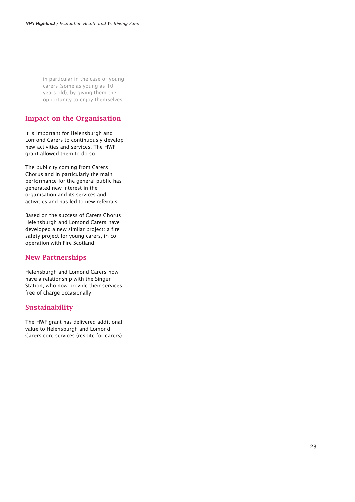in particular in the case of young carers (some as young as 10 years old), by giving them the opportunity to enjoy themselves.

#### Impact on the Organisation

It is important for Helensburgh and Lomond Carers to continuously develop new activities and services. The HWF grant allowed them to do so.

The publicity coming from Carers Chorus and in particularly the main performance for the general public has generated new interest in the organisation and its services and activities and has led to new referrals.

Based on the success of Carers Chorus Helensburgh and Lomond Carers have developed a new similar project: a fire safety project for young carers, in cooperation with Fire Scotland.

#### New Partnerships

Helensburgh and Lomond Carers now have a relationship with the Singer Station, who now provide their services free of charge occasionally.

#### Sustainability

The HWF grant has delivered additional value to Helensburgh and Lomond Carers core services (respite for carers).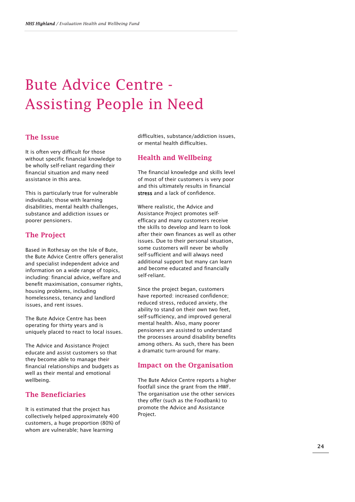### Bute Advice Centre - Assisting People in Need

#### The Issue

It is often very difficult for those without specific financial knowledge to be wholly self-reliant regarding their financial situation and many need assistance in this area.

This is particularly true for vulnerable individuals; those with learning disabilities, mental health challenges, substance and addiction issues or poorer pensioners.

#### The Project

Based in Rothesay on the Isle of Bute, the Bute Advice Centre offers generalist and specialist independent advice and information on a wide range of topics, including: financial advice, welfare and benefit maximisation, consumer rights, housing problems, including homelessness, tenancy and landlord issues, and rent issues.

The Bute Advice Centre has been operating for thirty years and is uniquely placed to react to local issues.

The Advice and Assistance Project educate and assist customers so that they become able to manage their financial relationships and budgets as well as their mental and emotional wellbeing.

#### The Beneficiaries

It is estimated that the project has collectively helped approximately 400 customers, a huge proportion (80%) of whom are vulnerable; have learning

difficulties, substance/addiction issues, or mental health difficulties.

#### Health and Wellbeing

The financial knowledge and skills level of most of their customers is very poor and this ultimately results in financial stress and a lack of confidence.

Where realistic, the Advice and Assistance Project promotes selfefficacy and many customers receive the skills to develop and learn to look after their own finances as well as other issues. Due to their personal situation, some customers will never be wholly self-sufficient and will always need additional support but many can learn and become educated and financially self-reliant.

Since the project began, customers have reported: increased confidence; reduced stress, reduced anxiety, the ability to stand on their own two feet, self-sufficiency, and improved general mental health. Also, many poorer pensioners are assisted to understand the processes around disability benefits among others. As such, there has been a dramatic turn-around for many.

#### Impact on the Organisation

The Bute Advice Centre reports a higher footfall since the grant from the HWF. The organisation use the other services they offer (such as the Foodbank) to promote the Advice and Assistance Project.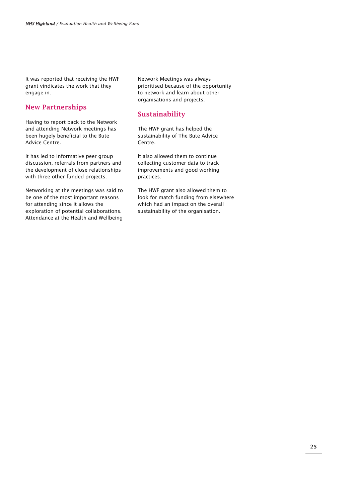It was reported that receiving the HWF grant vindicates the work that they engage in.

#### New Partnerships

Having to report back to the Network and attending Network meetings has been hugely beneficial to the Bute Advice Centre.

It has led to informative peer group discussion, referrals from partners and the development of close relationships with three other funded projects.

Networking at the meetings was said to be one of the most important reasons for attending since it allows the exploration of potential collaborations. Attendance at the Health and Wellbeing Network Meetings was always prioritised because of the opportunity to network and learn about other organisations and projects.

#### Sustainability

The HWF grant has helped the sustainability of The Bute Advice Centre.

It also allowed them to continue collecting customer data to track improvements and good working practices.

The HWF grant also allowed them to look for match funding from elsewhere which had an impact on the overall sustainability of the organisation.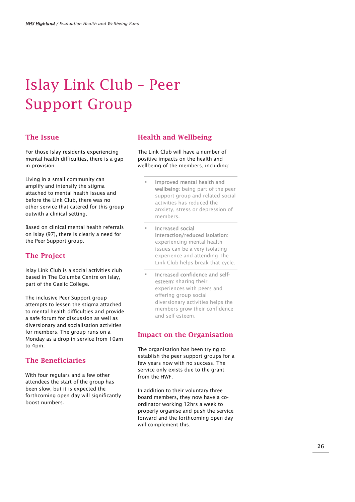## Islay Link Club – Peer Support Group

#### The Issue

For those Islay residents experiencing mental health difficulties, there is a gap in provision.

Living in a small community can amplify and intensify the stigma attached to mental health issues and before the Link Club, there was no other service that catered for this group outwith a clinical setting.

Based on clinical mental health referrals on Islay (97), there is clearly a need for the Peer Support group.

#### The Project

Islay Link Club is a social activities club based in The Columba Centre on Islay, part of the Gaelic College.

The inclusive Peer Support group attempts to lessen the stigma attached to mental health difficulties and provide a safe forum for discussion as well as diversionary and socialisation activities for members. The group runs on a Monday as a drop-in service from 10am to 4pm.

#### The Beneficiaries

With four regulars and a few other attendees the start of the group has been slow, but it is expected the forthcoming open day will significantly boost numbers.

#### Health and Wellbeing

The Link Club will have a number of positive impacts on the health and wellbeing of the members, including:

- Improved mental health and wellbeing: being part of the peer support group and related social activities has reduced the anxiety, stress or depression of members.
- Increased social interaction/reduced isolation: experiencing mental health issues can be a very isolating experience and attending The Link Club helps break that cycle.
- Increased confidence and selfesteem: sharing their experiences with peers and offering group social diversionary activities helps the members grow their confidence and self-esteem.

#### Impact on the Organisation

The organisation has been trying to establish the peer support groups for a few years now with no success. The service only exists due to the grant from the HWF.

In addition to their voluntary three board members, they now have a coordinator working 12hrs a week to properly organise and push the service forward and the forthcoming open day will complement this.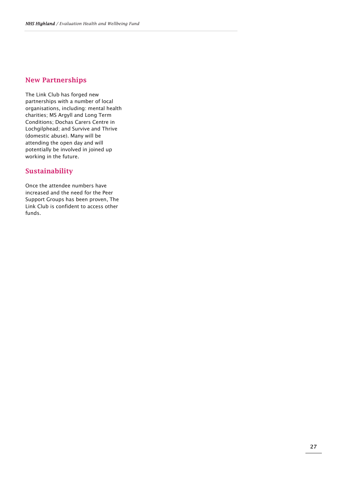#### New Partnerships

The Link Club has forged new partnerships with a number of local organisations, including: mental health charities; MS Argyll and Long Term Conditions; Dochas Carers Centre in Lochgilphead; and Survive and Thrive (domestic abuse). Many will be attending the open day and will potentially be involved in joined up working in the future.

#### Sustainability

Once the attendee numbers have increased and the need for the Peer Support Groups has been proven, The Link Club is confident to access other funds.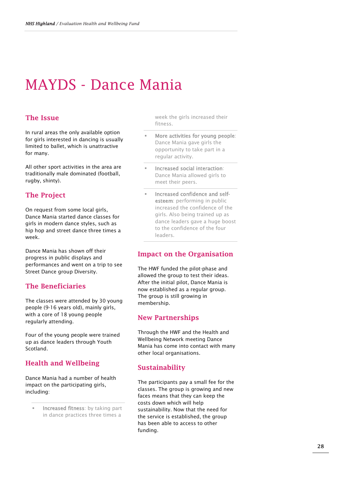### MAYDS - Dance Mania

#### The Issue

In rural areas the only available option for girls interested in dancing is usually limited to ballet, which is unattractive for many.

All other sport activities in the area are traditionally male dominated (football, rugby, shinty).

#### The Project

On request from some local girls, Dance Mania started dance classes for girls in modern dance styles, such as hip hop and street dance three times a week.

Dance Mania has shown off their progress in public displays and performances and went on a trip to see Street Dance group Diversity.

#### The Beneficiaries

The classes were attended by 30 young people (9-16 years old), mainly girls, with a core of 18 young people regularly attending.

Four of the young people were trained up as dance leaders through Youth Scotland.

#### Health and Wellbeing

Dance Mania had a number of health impact on the participating girls, including:

 Increased fitness: by taking part in dance practices three times a

week the girls increased their fitness.

- More activities for young people: Dance Mania gave girls the opportunity to take part in a regular activity.
- Increased social interaction: Dance Mania allowed girls to meet their peers.
- Increased confidence and selfesteem: performing in public increased the confidence of the girls. Also being trained up as dance leaders gave a huge boost to the confidence of the four leaders.

#### Impact on the Organisation

The HWF funded the pilot-phase and allowed the group to test their ideas. After the initial pilot, Dance Mania is now established as a regular group. The group is still growing in membership.

#### New Partnerships

Through the HWF and the Health and Wellbeing Network meeting Dance Mania has come into contact with many other local organisations.

#### Sustainability

The participants pay a small fee for the classes. The group is growing and new faces means that they can keep the costs down which will help sustainability. Now that the need for the service is established, the group has been able to access to other funding.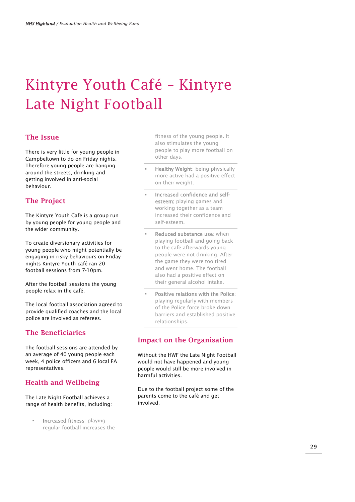## Kintyre Youth Café – Kintyre Late Night Football

#### The Issue

There is very little for young people in Campbeltown to do on Friday nights. Therefore young people are hanging around the streets, drinking and getting involved in anti-social behaviour.

#### The Project

The Kintyre Youth Cafe is a group run by young people for young people and the wider community.

To create diversionary activities for young people who might potentially be engaging in risky behaviours on Friday nights Kintyre Youth café ran 20 football sessions from 7-10pm.

After the football sessions the young people relax in the café.

The local football association agreed to provide qualified coaches and the local police are involved as referees.

#### The Beneficiaries

The football sessions are attended by an average of 40 young people each week, 4 police officers and 6 local FA representatives.

#### Health and Wellbeing

The Late Night Football achieves a range of health benefits, including:

 Increased fitness: playing regular football increases the fitness of the young people. It also stimulates the young people to play more football on other days.

- Healthy Weight: being physically more active had a positive effect on their weight.
- Increased confidence and selfesteem: playing games and working together as a team increased their confidence and self-esteem.
- Reduced substance use: when playing football and going back to the cafe afterwards young people were not drinking. After the game they were too tired and went home. The football also had a positive effect on their general alcohol intake.
- Positive relations with the Police: playing regularly with members of the Police force broke down barriers and established positive relationships.

#### Impact on the Organisation

Without the HWF the Late Night Football would not have happened and young people would still be more involved in harmful activities.

Due to the football project some of the parents come to the café and get involved.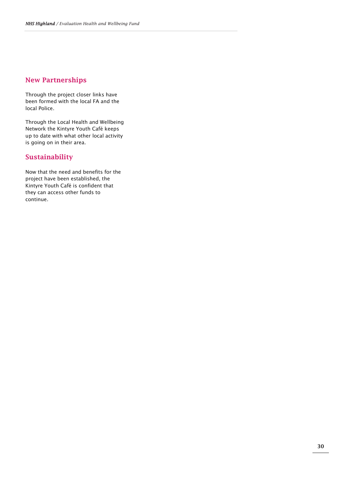#### New Partnerships

Through the project closer links have been formed with the local FA and the local Police.

Through the Local Health and Wellbeing Network the Kintyre Youth Café keeps up to date with what other local activity is going on in their area.

#### Sustainability

Now that the need and benefits for the project have been established, the Kintyre Youth Café is confident that they can access other funds to continue.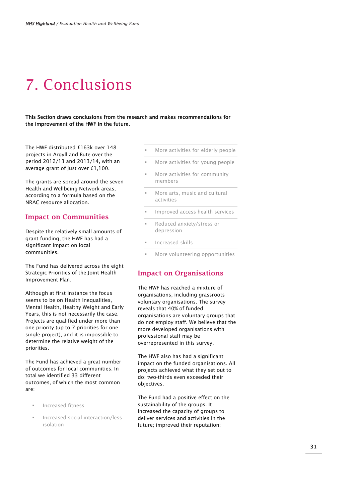### 7. Conclusions

This Section draws conclusions from the research and makes recommendations for the improvement of the HWF in the future.

The HWF distributed £163k over 148 projects in Argyll and Bute over the period 2012/13 and 2013/14, with an average grant of just over £1,100.

The grants are spread around the seven Health and Wellbeing Network areas, according to a formula based on the NRAC resource allocation.

#### Impact on Communities

Despite the relatively small amounts of grant funding, the HWF has had a significant impact on local communities.

The Fund has delivered across the eight Strategic Priorities of the Joint Health Improvement Plan.

Although at first instance the focus seems to be on Health Inequalities, Mental Health, Healthy Weight and Early Years, this is not necessarily the case. Projects are qualified under more than one priority (up to 7 priorities for one single project), and it is impossible to determine the relative weight of the priorities.

The Fund has achieved a great number of outcomes for local communities. In total we identified 33 different outcomes, of which the most common are:

- Increased fitness
- Increased social interaction/less isolation
- More activities for elderly people
- More activities for young people
- More activities for community members
- More arts, music and cultural activities
- Improved access health services
- Reduced anxiety/stress or depression
- Increased skills
- More volunteering opportunities

#### Impact on Organisations

The HWF has reached a mixture of organisations, including grassroots voluntary organisations. The survey reveals that 40% of funded organisations are voluntary groups that do not employ staff. We believe that the more developed organisations with professional staff may be overrepresented in this survey.

The HWF also has had a significant impact on the funded organisations. All projects achieved what they set out to do; two-thirds even exceeded their objectives.

The Fund had a positive effect on the sustainability of the groups. It increased the capacity of groups to deliver services and activities in the future; improved their reputation;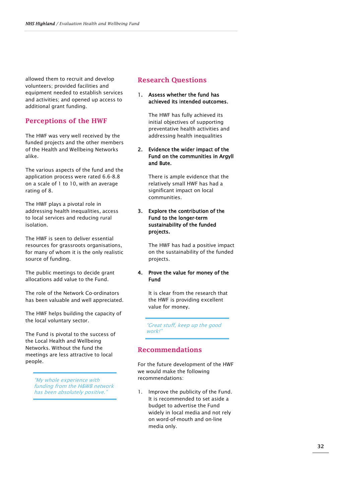allowed them to recruit and develop volunteers; provided facilities and equipment needed to establish services and activities; and opened up access to additional grant funding.

#### Perceptions of the HWF

The HWF was very well received by the funded projects and the other members of the Health and Wellbeing Networks alike.

The various aspects of the fund and the application process were rated 6.6-8.8 on a scale of 1 to 10, with an average rating of 8.

The HWF plays a pivotal role in addressing health inequalities, access to local services and reducing rural isolation.

The HWF is seen to deliver essential resources for grassroots organisations, for many of whom it is the only realistic source of funding.

The public meetings to decide grant allocations add value to the Fund.

The role of the Network Co-ordinators has been valuable and well appreciated.

The HWF helps building the capacity of the local voluntary sector.

The Fund is pivotal to the success of the Local Health and Wellbeing Networks. Without the fund the meetings are less attractive to local people.

> "My whole experience with funding from the H&WB network has been absolutely positive.

#### Research Questions

#### 1. Assess whether the fund has achieved its intended outcomes.

The HWF has fully achieved its initial objectives of supporting preventative health activities and addressing health inequalities

#### 2. Evidence the wider impact of the Fund on the communities in Argyll and Bute.

There is ample evidence that the relatively small HWF has had a significant impact on local communities.

#### 3. Explore the contribution of the Fund to the longer-term sustainability of the funded projects.

The HWF has had a positive impact on the sustainability of the funded projects.

#### 4. Prove the value for money of the Fund

It is clear from the research that the HWF is providing excellent value for money.

"Great stuff, keep up the good work!"

#### Recommendations

For the future development of the HWF we would make the following recommendations:

1. Improve the publicity of the Fund. It is recommended to set aside a budget to advertise the Fund widely in local media and not rely on word-of-mouth and on-line media only.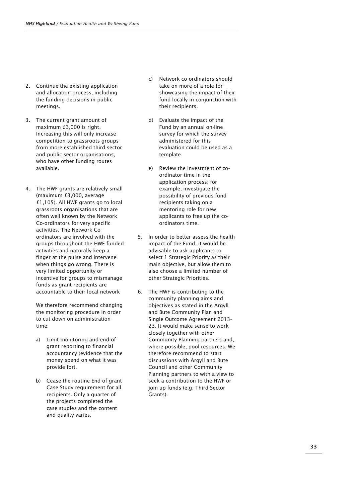- 2. Continue the existing application and allocation process, including the funding decisions in public meetings.
- 3. The current grant amount of maximum £3,000 is right. Increasing this will only increase competition to grassroots groups from more established third sector and public sector organisations, who have other funding routes available.
- 4. The HWF grants are relatively small (maximum £3,000, average £1,105). All HWF grants go to local grassroots organisations that are often well known by the Network Co-ordinators for very specific activities. The Network Coordinators are involved with the groups throughout the HWF funded activities and naturally keep a finger at the pulse and intervene when things go wrong. There is very limited opportunity or incentive for groups to mismanage funds as grant recipients are accountable to their local network

We therefore recommend changing the monitoring procedure in order to cut down on administration time:

- a) Limit monitoring and end-ofgrant reporting to financial accountancy (evidence that the money spend on what it was provide for).
- b) Cease the routine End-of-grant Case Study requirement for all recipients. Only a quarter of the projects completed the case studies and the content and quality varies.
- c) Network co-ordinators should take on more of a role for showcasing the impact of their fund locally in conjunction with their recipients.
- d) Evaluate the impact of the Fund by an annual on-line survey for which the survey administered for this evaluation could be used as a template.
- e) Review the investment of coordinator time in the application process; for example, investigate the possibility of previous fund recipients taking on a mentoring role for new applicants to free up the coordinators time.
- 5. In order to better assess the health impact of the Fund, it would be advisable to ask applicants to select 1 Strategic Priority as their main objective, but allow them to also choose a limited number of other Strategic Priorities.
- 6. The HWF is contributing to the community planning aims and objectives as stated in the Argyll and Bute Community Plan and Single Outcome Agreement 2013- 23. It would make sense to work closely together with other Community Planning partners and, where possible, pool resources. We therefore recommend to start discussions with Argyll and Bute Council and other Community Planning partners to with a view to seek a contribution to the HWF or join up funds (e.g. Third Sector Grants).